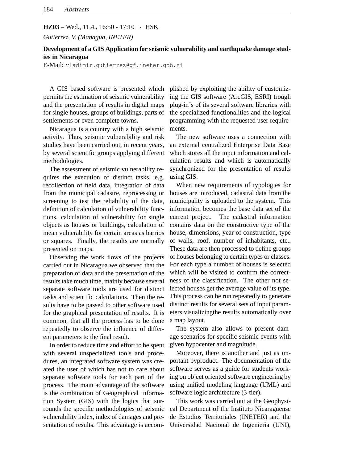## **HZ03** – Wed., 11.4., 16:50 - 17:10 • HSK

*Gutierrez, V. (Managua, INETER)*

## **Development of a GIS Application for seismic vulnerability and earthquake damage studies in Nicaragua**

E-Mail: vladimir.gutierrez@gf.ineter.gob.ni

A GIS based software is presented which permits the estimation of seismic vulnerability and the presentation of results in digital maps for single houses, groups of buildings, parts of settlements or even complete towns.

Nicaragua is a country with a high seismic activity. Thus, seismic vulnerability and risk studies have been carried out, in recent years, by several scientific groups applying different methodologies.

The assessment of seismic vulnerability requires the execution of distinct tasks, e.g. recollection of field data, integration of data from the municipal cadastre, reprocessing or screening to test the reliability of the data, definition of calculation of vulnerability functions, calculation of vulnerability for single objects as houses or buildings, calculation of mean vulnerability for certain areas as barrios or squares. Finally, the results are normally presented on maps.

Observing the work flows of the projects carried out in Nicaragua we observed that the preparation of data and the presentation of the results take much time, mainly because several separate software tools are used for distinct tasks and scientific calculations. Then the results have to be passed to other software used for the graphical presentation of results. It is common, that all the process has to be done repeatedly to observe the influence of different parameters to the final result.

In order to reduce time and effort to be spent with several unspecialized tools and procedures, an integrated software system was created the user of which has not to care about separate software tools for each part of the process. The main advantage of the software is the combination of Geographical Information System (GIS) with the logics that surrounds the specific methodologies of seismic vulnerability index, index of damages and presentation of results. This advantage is accomplished by exploiting the ability of customizing the GIS software (ArcGIS, ESRI) trough plug-in´s of its several software libraries with the specialized functionalities and the logical programming with the requested user requirements.

The new software uses a connection with an external centralized Enterprise Data Base which stores all the input information and calculation results and which is automatically synchronized for the presentation of results using GIS.

When new requirements of typologies for houses are introduced, cadastral data from the municipality is uploaded to the system. This information becomes the base data set of the current project. The cadastral information contains data on the constructive type of the house, dimensions, year of construction, type of walls, roof, number of inhabitants, etc.. These data are then processed to define groups of houses belonging to certain types or classes. For each type a number of houses is selected which will be visited to confirm the correctness of the classification. The other not selected houses get the average value of its type. This process can be run repeatedly to generate distinct results for several sets of input parameters visualizingthe results automatically over a map layout.

The system also allows to present damage scenarios for specific seismic events with given hypocenter and magnitude.

Moreover, there is another and just as important byproduct. The documentation of the software serves as a guide for students working on object oriented software engineering by using unified modeling language (UML) and software logic architecture (3-tier).

This work was carried out at the Geophysical Department of the Instituto Nicaragüense de Estudios Territoriales (INETER) and the Universidad Nacional de Ingenierìa (UNI),